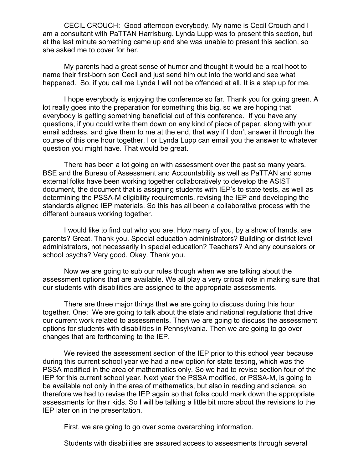CECIL CROUCH: Good afternoon everybody. My name is Cecil Crouch and I am a consultant with PaTTAN Harrisburg. Lynda Lupp was to present this section, but at the last minute something came up and she was unable to present this section, so she asked me to cover for her.

My parents had a great sense of humor and thought it would be a real hoot to name their first-born son Cecil and just send him out into the world and see what happened. So, if you call me Lynda I will not be offended at all. It is a step up for me.

I hope everybody is enjoying the conference so far. Thank you for going green. A lot really goes into the preparation for something this big, so we are hoping that everybody is getting something beneficial out of this conference. If you have any questions, if you could write them down on any kind of piece of paper, along with your email address, and give them to me at the end, that way if I don't answer it through the course of this one hour together, I or Lynda Lupp can email you the answer to whatever question you might have. That would be great.

There has been a lot going on with assessment over the past so many years. BSE and the Bureau of Assessment and Accountability as well as PaTTAN and some external folks have been working together collaboratively to develop the ASIST document, the document that is assigning students with IEP's to state tests, as well as determining the PSSA-M eligibility requirements, revising the IEP and developing the standards aligned IEP materials. So this has all been a collaborative process with the different bureaus working together.

I would like to find out who you are. How many of you, by a show of hands, are parents? Great. Thank you. Special education administrators? Building or district level administrators, not necessarily in special education? Teachers? And any counselors or school psychs? Very good. Okay. Thank you.

Now we are going to sub our rules though when we are talking about the assessment options that are available. We all play a very critical role in making sure that our students with disabilities are assigned to the appropriate assessments.

There are three major things that we are going to discuss during this hour together. One: We are going to talk about the state and national regulations that drive our current work related to assessments. Then we are going to discuss the assessment options for students with disabilities in Pennsylvania. Then we are going to go over changes that are forthcoming to the IEP.

We revised the assessment section of the IEP prior to this school year because during this current school year we had a new option for state testing, which was the PSSA modified in the area of mathematics only. So we had to revise section four of the IEP for this current school year. Next year the PSSA modified, or PSSA-M, is going to be available not only in the area of mathematics, but also in reading and science, so therefore we had to revise the IEP again so that folks could mark down the appropriate assessments for their kids. So I will be talking a little bit more about the revisions to the IEP later on in the presentation.

First, we are going to go over some overarching information.

Students with disabilities are assured access to assessments through several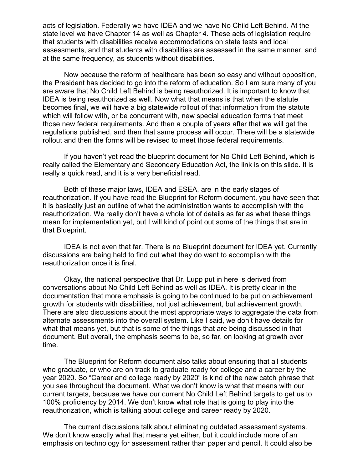acts of legislation. Federally we have IDEA and we have No Child Left Behind. At the state level we have Chapter 14 as well as Chapter 4. These acts of legislation require that students with disabilities receive accommodations on state tests and local assessments, and that students with disabilities are assessed in the same manner, and at the same frequency, as students without disabilities.

Now because the reform of healthcare has been so easy and without opposition, the President has decided to go into the reform of education. So I am sure many of you are aware that No Child Left Behind is being reauthorized. It is important to know that IDEA is being reauthorized as well. Now what that means is that when the statute becomes final, we will have a big statewide rollout of that information from the statute which will follow with, or be concurrent with, new special education forms that meet those new federal requirements. And then a couple of years after that we will get the regulations published, and then that same process will occur. There will be a statewide rollout and then the forms will be revised to meet those federal requirements.

If you haven't yet read the blueprint document for No Child Left Behind, which is really called the Elementary and Secondary Education Act, the link is on this slide. It is really a quick read, and it is a very beneficial read.

Both of these major laws, IDEA and ESEA, are in the early stages of reauthorization. If you have read the Blueprint for Reform document, you have seen that it is basically just an outline of what the administration wants to accomplish with the reauthorization. We really don't have a whole lot of details as far as what these things mean for implementation yet, but I will kind of point out some of the things that are in that Blueprint.

IDEA is not even that far. There is no Blueprint document for IDEA yet. Currently discussions are being held to find out what they do want to accomplish with the reauthorization once it is final.

Okay, the national perspective that Dr. Lupp put in here is derived from conversations about No Child Left Behind as well as IDEA. It is pretty clear in the documentation that more emphasis is going to be continued to be put on achievement growth for students with disabilities, not just achievement, but achievement growth. There are also discussions about the most appropriate ways to aggregate the data from alternate assessments into the overall system. Like I said, we don't have details for what that means yet, but that is some of the things that are being discussed in that document. But overall, the emphasis seems to be, so far, on looking at growth over time.

The Blueprint for Reform document also talks about ensuring that all students who graduate, or who are on track to graduate ready for college and a career by the year 2020. So "Career and college ready by 2020" is kind of the new catch phrase that you see throughout the document. What we don't know is what that means with our current targets, because we have our current No Child Left Behind targets to get us to 100% proficiency by 2014. We don't know what role that is going to play into the reauthorization, which is talking about college and career ready by 2020.

The current discussions talk about eliminating outdated assessment systems. We don't know exactly what that means yet either, but it could include more of an emphasis on technology for assessment rather than paper and pencil. It could also be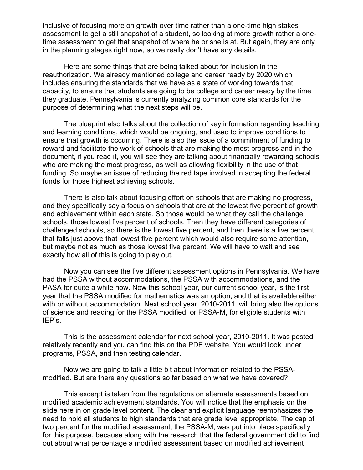inclusive of focusing more on growth over time rather than a one-time high stakes assessment to get a still snapshot of a student, so looking at more growth rather a onetime assessment to get that snapshot of where he or she is at. But again, they are only in the planning stages right now, so we really don't have any details.

Here are some things that are being talked about for inclusion in the reauthorization. We already mentioned college and career ready by 2020 which includes ensuring the standards that we have as a state of working towards that capacity, to ensure that students are going to be college and career ready by the time they graduate. Pennsylvania is currently analyzing common core standards for the purpose of determining what the next steps will be.

The blueprint also talks about the collection of key information regarding teaching and learning conditions, which would be ongoing, and used to improve conditions to ensure that growth is occurring. There is also the issue of a commitment of funding to reward and facilitate the work of schools that are making the most progress and in the document, if you read it, you will see they are talking about financially rewarding schools who are making the most progress, as well as allowing flexibility in the use of that funding. So maybe an issue of reducing the red tape involved in accepting the federal funds for those highest achieving schools.

There is also talk about focusing effort on schools that are making no progress, and they specifically say a focus on schools that are at the lowest five percent of growth and achievement within each state. So those would be what they call the challenge schools, those lowest five percent of schools. Then they have different categories of challenged schools, so there is the lowest five percent, and then there is a five percent that falls just above that lowest five percent which would also require some attention, but maybe not as much as those lowest five percent. We will have to wait and see exactly how all of this is going to play out.

Now you can see the five different assessment options in Pennsylvania. We have had the PSSA without accommodations, the PSSA with accommodations, and the PASA for quite a while now. Now this school year, our current school year, is the first year that the PSSA modified for mathematics was an option, and that is available either with or without accommodation. Next school year, 2010-2011, will bring also the options of science and reading for the PSSA modified, or PSSA-M, for eligible students with IEP's.

This is the assessment calendar for next school year, 2010-2011. It was posted relatively recently and you can find this on the PDE website. You would look under programs, PSSA, and then testing calendar.

Now we are going to talk a little bit about information related to the PSSAmodified. But are there any questions so far based on what we have covered?

This excerpt is taken from the regulations on alternate assessments based on modified academic achievement standards. You will notice that the emphasis on the slide here in on grade level content. The clear and explicit language reemphasizes the need to hold all students to high standards that are grade level appropriate. The cap of two percent for the modified assessment, the PSSA-M, was put into place specifically for this purpose, because along with the research that the federal government did to find out about what percentage a modified assessment based on modified achievement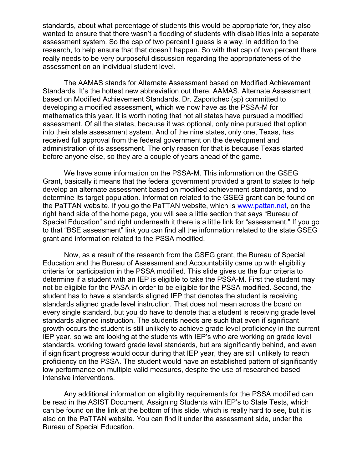standards, about what percentage of students this would be appropriate for, they also wanted to ensure that there wasn't a flooding of students with disabilities into a separate assessment system. So the cap of two percent I guess is a way, in addition to the research, to help ensure that that doesn't happen. So with that cap of two percent there really needs to be very purposeful discussion regarding the appropriateness of the assessment on an individual student level.

The AAMAS stands for Alternate Assessment based on Modified Achievement Standards. It's the hottest new abbreviation out there. AAMAS. Alternate Assessment based on Modified Achievement Standards. Dr. Zaportchec (sp) committed to developing a modified assessment, which we now have as the PSSA-M for mathematics this year. It is worth noting that not all states have pursued a modified assessment. Of all the states, because it was optional, only nine pursued that option into their state assessment system. And of the nine states, only one, Texas, has received full approval from the federal government on the development and administration of its assessment. The only reason for that is because Texas started before anyone else, so they are a couple of years ahead of the game.

We have some information on the PSSA-M. This information on the GSEG Grant, basically it means that the federal government provided a grant to states to help develop an alternate assessment based on modified achievement standards, and to determine its target population. Information related to the GSEG grant can be found on the PaTTAN website. If you go the PaTTAN website, which is [www.pattan.net,](http://www.pattan.net/) on the right hand side of the home page, you will see a little section that says "Bureau of Special Education" and right underneath it there is a little link for "assessment." If you go to that "BSE assessment" link you can find all the information related to the state GSEG grant and information related to the PSSA modified.

Now, as a result of the research from the GSEG grant, the Bureau of Special Education and the Bureau of Assessment and Accountability came up with eligibility criteria for participation in the PSSA modified. This slide gives us the four criteria to determine if a student with an IEP is eligible to take the PSSA-M. First the student may not be eligible for the PASA in order to be eligible for the PSSA modified. Second, the student has to have a standards aligned IEP that denotes the student is receiving standards aligned grade level instruction. That does not mean across the board on every single standard, but you do have to denote that a student is receiving grade level standards aligned instruction. The students needs are such that even if significant growth occurs the student is still unlikely to achieve grade level proficiency in the current IEP year, so we are looking at the students with IEP's who are working on grade level standards, working toward grade level standards, but are significantly behind, and even if significant progress would occur during that IEP year, they are still unlikely to reach proficiency on the PSSA. The student would have an established pattern of significantly low performance on multiple valid measures, despite the use of researched based intensive interventions.

Any additional information on eligibility requirements for the PSSA modified can be read in the ASIST Document, Assigning Students with IEP's to State Tests, which can be found on the link at the bottom of this slide, which is really hard to see, but it is also on the PaTTAN website. You can find it under the assessment side, under the Bureau of Special Education.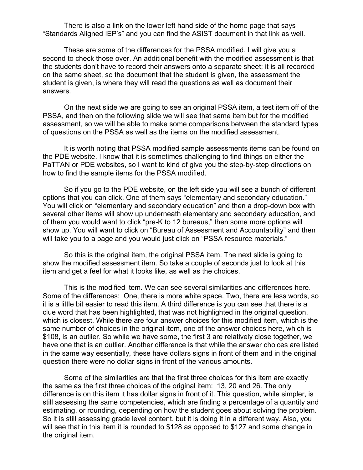There is also a link on the lower left hand side of the home page that says "Standards Aligned IEP's" and you can find the ASIST document in that link as well.

These are some of the differences for the PSSA modified. I will give you a second to check those over. An additional benefit with the modified assessment is that the students don't have to record their answers onto a separate sheet; it is all recorded on the same sheet, so the document that the student is given, the assessment the student is given, is where they will read the questions as well as document their answers.

On the next slide we are going to see an original PSSA item, a test item off of the PSSA, and then on the following slide we will see that same item but for the modified assessment, so we will be able to make some comparisons between the standard types of questions on the PSSA as well as the items on the modified assessment.

It is worth noting that PSSA modified sample assessments items can be found on the PDE website. I know that it is sometimes challenging to find things on either the PaTTAN or PDE websites, so I want to kind of give you the step-by-step directions on how to find the sample items for the PSSA modified.

So if you go to the PDE website, on the left side you will see a bunch of different options that you can click. One of them says "elementary and secondary education." You will click on "elementary and secondary education" and then a drop-down box with several other items will show up underneath elementary and secondary education, and of them you would want to click "pre-K to 12 bureaus," then some more options will show up. You will want to click on "Bureau of Assessment and Accountability" and then will take you to a page and you would just click on "PSSA resource materials."

So this is the original item, the original PSSA item. The next slide is going to show the modified assessment item. So take a couple of seconds just to look at this item and get a feel for what it looks like, as well as the choices.

This is the modified item. We can see several similarities and differences here. Some of the differences: One, there is more white space. Two, there are less words, so it is a little bit easier to read this item. A third difference is you can see that there is a clue word that has been highlighted, that was not highlighted in the original question, which is closest. While there are four answer choices for this modified item, which is the same number of choices in the original item, one of the answer choices here, which is \$108, is an outlier. So while we have some, the first 3 are relatively close together, we have one that is an outlier. Another difference is that while the answer choices are listed in the same way essentially, these have dollars signs in front of them and in the original question there were no dollar signs in front of the various amounts.

Some of the similarities are that the first three choices for this item are exactly the same as the first three choices of the original item: 13, 20 and 26. The only difference is on this item it has dollar signs in front of it. This question, while simpler, is still assessing the same competencies, which are finding a percentage of a quantity and estimating, or rounding, depending on how the student goes about solving the problem. So it is still assessing grade level content, but it is doing it in a different way. Also, you will see that in this item it is rounded to \$128 as opposed to \$127 and some change in the original item.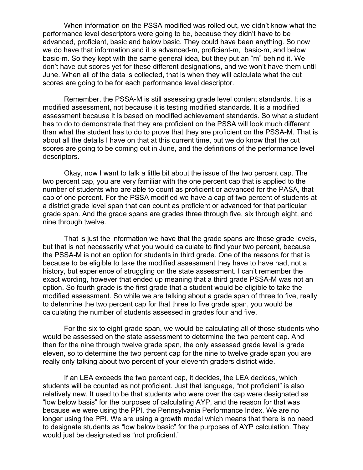When information on the PSSA modified was rolled out, we didn't know what the performance level descriptors were going to be, because they didn't have to be advanced, proficient, basic and below basic. They could have been anything. So now we do have that information and it is advanced-m, proficient-m, basic-m, and below basic-m. So they kept with the same general idea, but they put an "m" behind it. We don't have cut scores yet for these different designations, and we won't have them until June. When all of the data is collected, that is when they will calculate what the cut scores are going to be for each performance level descriptor.

Remember, the PSSA-M is still assessing grade level content standards. It is a modified assessment, not because it is testing modified standards. It is a modified assessment because it is based on modified achievement standards. So what a student has to do to demonstrate that they are proficient on the PSSA will look much different than what the student has to do to prove that they are proficient on the PSSA-M. That is about all the details I have on that at this current time, but we do know that the cut scores are going to be coming out in June, and the definitions of the performance level descriptors.

Okay, now I want to talk a little bit about the issue of the two percent cap. The two percent cap, you are very familiar with the one percent cap that is applied to the number of students who are able to count as proficient or advanced for the PASA, that cap of one percent. For the PSSA modified we have a cap of two percent of students at a district grade level span that can count as proficient or advanced for that particular grade span. And the grade spans are grades three through five, six through eight, and nine through twelve.

That is just the information we have that the grade spans are those grade levels, but that is not necessarily what you would calculate to find your two percent, because the PSSA-M is not an option for students in third grade. One of the reasons for that is because to be eligible to take the modified assessment they have to have had, not a history, but experience of struggling on the state assessment. I can't remember the exact wording, however that ended up meaning that a third grade PSSA-M was not an option. So fourth grade is the first grade that a student would be eligible to take the modified assessment. So while we are talking about a grade span of three to five, really to determine the two percent cap for that three to five grade span, you would be calculating the number of students assessed in grades four and five.

For the six to eight grade span, we would be calculating all of those students who would be assessed on the state assessment to determine the two percent cap. And then for the nine through twelve grade span, the only assessed grade level is grade eleven, so to determine the two percent cap for the nine to twelve grade span you are really only talking about two percent of your eleventh graders district wide.

If an LEA exceeds the two percent cap, it decides, the LEA decides, which students will be counted as not proficient. Just that language, "not proficient" is also relatively new. It used to be that students who were over the cap were designated as "low below basis" for the purposes of calculating AYP, and the reason for that was because we were using the PPI, the Pennsylvania Performance Index. We are no longer using the PPI. We are using a growth model which means that there is no need to designate students as "low below basic" for the purposes of AYP calculation. They would just be designated as "not proficient."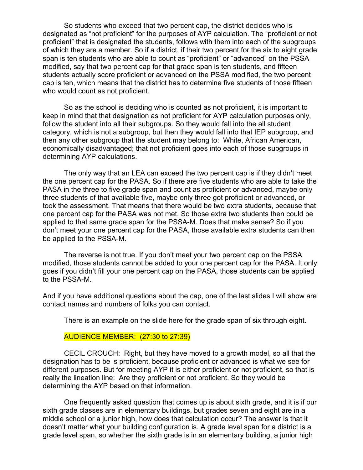So students who exceed that two percent cap, the district decides who is designated as "not proficient" for the purposes of AYP calculation. The "proficient or not proficient" that is designated the students, follows with them into each of the subgroups of which they are a member. So if a district, if their two percent for the six to eight grade span is ten students who are able to count as "proficient" or "advanced" on the PSSA modified, say that two percent cap for that grade span is ten students, and fifteen students actually score proficient or advanced on the PSSA modified, the two percent cap is ten, which means that the district has to determine five students of those fifteen who would count as not proficient.

So as the school is deciding who is counted as not proficient, it is important to keep in mind that that designation as not proficient for AYP calculation purposes only, follow the student into all their subgroups. So they would fall into the all student category, which is not a subgroup, but then they would fall into that IEP subgroup, and then any other subgroup that the student may belong to: White, African American, economically disadvantaged; that not proficient goes into each of those subgroups in determining AYP calculations.

The only way that an LEA can exceed the two percent cap is if they didn't meet the one percent cap for the PASA. So if there are five students who are able to take the PASA in the three to five grade span and count as proficient or advanced, maybe only three students of that available five, maybe only three got proficient or advanced, or took the assessment. That means that there would be two extra students, because that one percent cap for the PASA was not met. So those extra two students then could be applied to that same grade span for the PSSA-M. Does that make sense? So if you don't meet your one percent cap for the PASA, those available extra students can then be applied to the PSSA-M.

The reverse is not true. If you don't meet your two percent cap on the PSSA modified, those students cannot be added to your one percent cap for the PASA. It only goes if you didn't fill your one percent cap on the PASA, those students can be applied to the PSSA-M.

And if you have additional questions about the cap, one of the last slides I will show are contact names and numbers of folks you can contact.

There is an example on the slide here for the grade span of six through eight.

## AUDIENCE MEMBER: (27:30 to 27:39)

CECIL CROUCH: Right, but they have moved to a growth model, so all that the designation has to be is proficient, because proficient or advanced is what we see for different purposes. But for meeting AYP it is either proficient or not proficient, so that is really the lineation line: Are they proficient or not proficient. So they would be determining the AYP based on that information.

One frequently asked question that comes up is about sixth grade, and it is if our sixth grade classes are in elementary buildings, but grades seven and eight are in a middle school or a junior high, how does that calculation occur? The answer is that it doesn't matter what your building configuration is. A grade level span for a district is a grade level span, so whether the sixth grade is in an elementary building, a junior high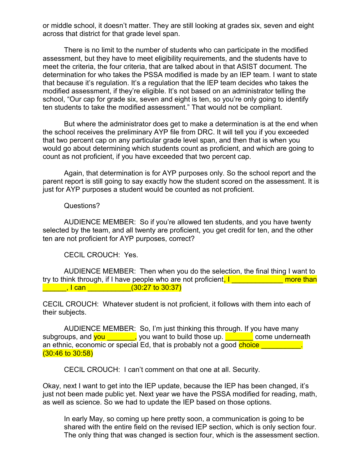or middle school, it doesn't matter. They are still looking at grades six, seven and eight across that district for that grade level span.

There is no limit to the number of students who can participate in the modified assessment, but they have to meet eligibility requirements, and the students have to meet the criteria, the four criteria, that are talked about in that ASIST document. The determination for who takes the PSSA modified is made by an IEP team. I want to state that because it's regulation. It's a regulation that the IEP team decides who takes the modified assessment, if they're eligible. It's not based on an administrator telling the school, "Our cap for grade six, seven and eight is ten, so you're only going to identify ten students to take the modified assessment." That would not be compliant.

But where the administrator does get to make a determination is at the end when the school receives the preliminary AYP file from DRC. It will tell you if you exceeded that two percent cap on any particular grade level span, and then that is when you would go about determining which students count as proficient, and which are going to count as not proficient, if you have exceeded that two percent cap.

Again, that determination is for AYP purposes only. So the school report and the parent report is still going to say exactly how the student scored on the assessment. It is just for AYP purposes a student would be counted as not proficient.

Questions?

AUDIENCE MEMBER: So if you're allowed ten students, and you have twenty selected by the team, and all twenty are proficient, you get credit for ten, and the other ten are not proficient for AYP purposes, correct?

CECIL CROUCH: Yes.

AUDIENCE MEMBER: Then when you do the selection, the final thing I want to try to think through, if I have people who are not proficient, I contained than  $\blacksquare$ , I can  $\blacksquare$ , I can  $\blacksquare$ 

CECIL CROUCH: Whatever student is not proficient, it follows with them into each of their subjects.

AUDIENCE MEMBER: So, I'm just thinking this through. If you have many subgroups, and  $you$  , you want to build those up.  $\Box$  come underneath an ethnic, economic or special Ed, that is probably not a good choice (30:46 to 30:58)

CECIL CROUCH: I can't comment on that one at all. Security.

Okay, next I want to get into the IEP update, because the IEP has been changed, it's just not been made public yet. Next year we have the PSSA modified for reading, math, as well as science. So we had to update the IEP based on those options.

In early May, so coming up here pretty soon, a communication is going to be shared with the entire field on the revised IEP section, which is only section four. The only thing that was changed is section four, which is the assessment section.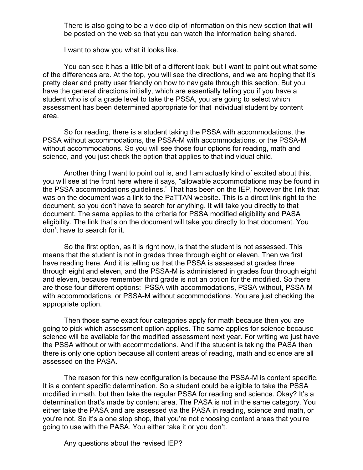There is also going to be a video clip of information on this new section that will be posted on the web so that you can watch the information being shared.

I want to show you what it looks like.

You can see it has a little bit of a different look, but I want to point out what some of the differences are. At the top, you will see the directions, and we are hoping that it's pretty clear and pretty user friendly on how to navigate through this section. But you have the general directions initially, which are essentially telling you if you have a student who is of a grade level to take the PSSA, you are going to select which assessment has been determined appropriate for that individual student by content area.

So for reading, there is a student taking the PSSA with accommodations, the PSSA without accommodations, the PSSA-M with accommodations, or the PSSA-M without accommodations. So you will see those four options for reading, math and science, and you just check the option that applies to that individual child.

Another thing I want to point out is, and I am actually kind of excited about this, you will see at the front here where it says, "allowable accommodations may be found in the PSSA accommodations guidelines." That has been on the IEP, however the link that was on the document was a link to the PaTTAN website. This is a direct link right to the document, so you don't have to search for anything. It will take you directly to that document. The same applies to the criteria for PSSA modified eligibility and PASA eligibility. The link that's on the document will take you directly to that document. You don't have to search for it.

So the first option, as it is right now, is that the student is not assessed. This means that the student is not in grades three through eight or eleven. Then we first have reading here. And it is telling us that the PSSA is assessed at grades three through eight and eleven, and the PSSA-M is administered in grades four through eight and eleven, because remember third grade is not an option for the modified. So there are those four different options: PSSA with accommodations, PSSA without, PSSA-M with accommodations, or PSSA-M without accommodations. You are just checking the appropriate option.

Then those same exact four categories apply for math because then you are going to pick which assessment option applies. The same applies for science because science will be available for the modified assessment next year. For writing we just have the PSSA without or with accommodations. And if the student is taking the PASA then there is only one option because all content areas of reading, math and science are all assessed on the PASA.

The reason for this new configuration is because the PSSA-M is content specific. It is a content specific determination. So a student could be eligible to take the PSSA modified in math, but then take the regular PSSA for reading and science. Okay? It's a determination that's made by content area. The PASA is not in the same category. You either take the PASA and are assessed via the PASA in reading, science and math, or you're not. So it's a one stop shop, that you're not choosing content areas that you're going to use with the PASA. You either take it or you don't.

Any questions about the revised IEP?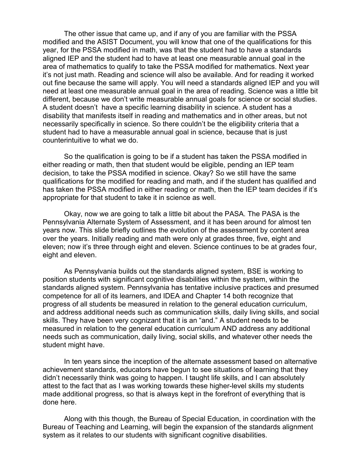The other issue that came up, and if any of you are familiar with the PSSA modified and the ASIST Document, you will know that one of the qualifications for this year, for the PSSA modified in math, was that the student had to have a standards aligned IEP and the student had to have at least one measurable annual goal in the area of mathematics to qualify to take the PSSA modified for mathematics. Next year it's not just math. Reading and science will also be available. And for reading it worked out fine because the same will apply. You will need a standards aligned IEP and you will need at least one measurable annual goal in the area of reading. Science was a little bit different, because we don't write measurable annual goals for science or social studies. A student doesn't have a specific learning disability in science. A student has a disability that manifests itself in reading and mathematics and in other areas, but not necessarily specifically in science. So there couldn't be the eligibility criteria that a student had to have a measurable annual goal in science, because that is just counterintuitive to what we do.

So the qualification is going to be if a student has taken the PSSA modified in either reading or math, then that student would be eligible, pending an IEP team decision, to take the PSSA modified in science. Okay? So we still have the same qualifications for the modified for reading and math, and if the student has qualified and has taken the PSSA modified in either reading or math, then the IEP team decides if it's appropriate for that student to take it in science as well.

Okay, now we are going to talk a little bit about the PASA. The PASA is the Pennsylvania Alternate System of Assessment, and it has been around for almost ten years now. This slide briefly outlines the evolution of the assessment by content area over the years. Initially reading and math were only at grades three, five, eight and eleven; now it's three through eight and eleven. Science continues to be at grades four, eight and eleven.

As Pennsylvania builds out the standards aligned system, BSE is working to position students with significant cognitive disabilities within the system, within the standards aligned system. Pennsylvania has tentative inclusive practices and presumed competence for all of its learners, and IDEA and Chapter 14 both recognize that progress of all students be measured in relation to the general education curriculum, and address additional needs such as communication skills, daily living skills, and social skills. They have been very cognizant that it is an "and." A student needs to be measured in relation to the general education curriculum AND address any additional needs such as communication, daily living, social skills, and whatever other needs the student might have.

In ten years since the inception of the alternate assessment based on alternative achievement standards, educators have begun to see situations of learning that they didn't necessarily think was going to happen. I taught life skills, and I can absolutely attest to the fact that as I was working towards these higher-level skills my students made additional progress, so that is always kept in the forefront of everything that is done here.

Along with this though, the Bureau of Special Education, in coordination with the Bureau of Teaching and Learning, will begin the expansion of the standards alignment system as it relates to our students with significant cognitive disabilities.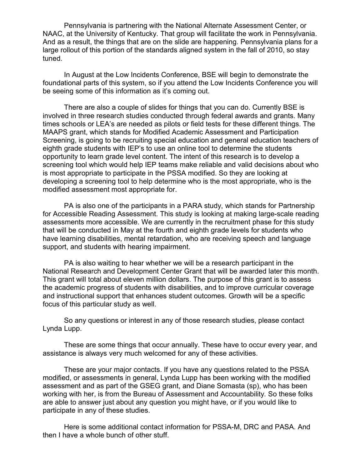Pennsylvania is partnering with the National Alternate Assessment Center, or NAAC, at the University of Kentucky. That group will facilitate the work in Pennsylvania. And as a result, the things that are on the slide are happening. Pennsylvania plans for a large rollout of this portion of the standards aligned system in the fall of 2010, so stay tuned.

In August at the Low Incidents Conference, BSE will begin to demonstrate the foundational parts of this system, so if you attend the Low Incidents Conference you will be seeing some of this information as it's coming out.

There are also a couple of slides for things that you can do. Currently BSE is involved in three research studies conducted through federal awards and grants. Many times schools or LEA's are needed as pilots or field tests for these different things. The MAAPS grant, which stands for Modified Academic Assessment and Participation Screening, is going to be recruiting special education and general education teachers of eighth grade students with IEP's to use an online tool to determine the students opportunity to learn grade level content. The intent of this research is to develop a screening tool which would help IEP teams make reliable and valid decisions about who is most appropriate to participate in the PSSA modified. So they are looking at developing a screening tool to help determine who is the most appropriate, who is the modified assessment most appropriate for.

PA is also one of the participants in a PARA study, which stands for Partnership for Accessible Reading Assessment. This study is looking at making large-scale reading assessments more accessible. We are currently in the recruitment phase for this study that will be conducted in May at the fourth and eighth grade levels for students who have learning disabilities, mental retardation, who are receiving speech and language support, and students with hearing impairment.

PA is also waiting to hear whether we will be a research participant in the National Research and Development Center Grant that will be awarded later this month. This grant will total about eleven million dollars. The purpose of this grant is to assess the academic progress of students with disabilities, and to improve curricular coverage and instructional support that enhances student outcomes. Growth will be a specific focus of this particular study as well.

So any questions or interest in any of those research studies, please contact Lynda Lupp.

These are some things that occur annually. These have to occur every year, and assistance is always very much welcomed for any of these activities.

These are your major contacts. If you have any questions related to the PSSA modified, or assessments in general, Lynda Lupp has been working with the modified assessment and as part of the GSEG grant, and Diane Somasta (sp), who has been working with her, is from the Bureau of Assessment and Accountability. So these folks are able to answer just about any question you might have, or if you would like to participate in any of these studies.

Here is some additional contact information for PSSA-M, DRC and PASA. And then I have a whole bunch of other stuff.